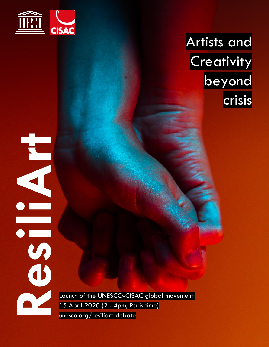

**Art**

# Artists and **Creativity** beyond crisis

Launch of the UNESCO-CISAC global movement: 15 April 2020 (2 - 4pm, Paris time) **Residence 15 April 2020 (2 - 4pm, Pd**<br> **Residence 15 April 2020 (2 - 4pm, Pd**<br> **Residence 2020 (2 - 4pm, Pd**<br> **Residence 2020 (2 - 4pm, Pd**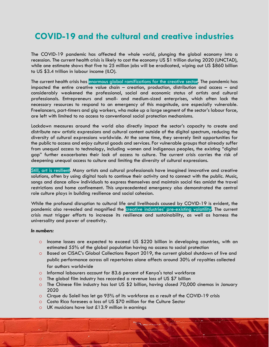### **COVID-19 and the cultural and creative industries**

The COVID-19 pandemic has affected the whole world, plunging the global economy into a recession. The current health crisis is likely to cost the economy US \$1 trillion during 2020 (UNCTAD), while one estimate shows that five to 25 million jobs will be eradicated, wiping out US \$860 billion to US \$3.4 trillion in labour income (ILO).

The current health crisis has enormous global ramifications for the creative secto**r**. The pandemic has impacted the entire creative value chain – creation, production, distribution and access – and considerably weakened the professional, social and economic status of artists and cultural professionals. Entrepreneurs and small- and medium-sized enterprises, which often lack the necessary resources to respond to an emergency of this magnitude, are especially vulnerable. Freelancers, part-timers and gig workers, who make up a large segment of the sector's labour force, are left with limited to no access to conventional social protection mechanisms.

Lockdown measures around the world also directly impact the sector's capacity to create and distribute new artistic expressions and cultural content outside of the digital spectrum, reducing the diversity of cultural expressions worldwide. At the same time, they severely limit opportunities for the public to access and enjoy cultural goods and services. For vulnerable groups that already suffer from unequal access to technology, including women and indigenous peoples, the existing "digital gap" further exacerbates their lack of access to culture. The current crisis carries the risk of deepening unequal access to culture and limiting the diversity of cultural expressions.

Still, art is resilient. Many artists and cultural professionals have imagined innovative and creative solutions, often by using digital tools to continue their activity and to connect with the public. Music, songs and dance allow individuals to express themselves and maintain social ties amidst the travel restrictions and home confinement. This unprecedented emergency also demonstrated the central role culture plays in building resilience and social cohesion.

While the profound disruption to cultural life and livelihoods caused by COVID-19 is evident, the pandemic also revealed and magnified the creative industries' pre-existing volatility. The current crisis must trigger efforts to increase its resilience and sustainability, as well as harness the universality and power of creativity.

#### *In numbers:*

- o Income losses are expected to exceed US \$220 billion in developing countries, with an estimated 55% of the global population having no access to social protection
- o Based on CISAC's Global Collections Report 2019, the current global shutdown of live and public performance across all repertoires alone affects around 30% of royalties collected for authors worldwide
- o Informal labourers account for 83.6 percent of Kenya's total workforce
- o The global film industry has recorded a revenue loss of US \$7 billion
- o The Chinese film industry has lost US \$2 billion, having closed 70,000 cinemas in January 2020
- o Cirque du Soleil has let go 95% of its workforce as a result of the COVID-19 crisis
- o Costa Rica foresees a loss of US \$70 million for the Culture Sector
- o UK musicians have lost £13.9 million in earnings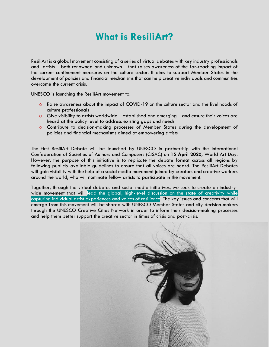## **What is ResiliArt?**

ResiliArt is a global movement consisting of a series of virtual debates with key industry professionals and artists – both renowned and unknown – that raises awareness of the far-reaching impact of the current confinement measures on the culture sector. It aims to support Member States in the development of policies and financial mechanisms that can help creative individuals and communities overcome the current crisis.

UNESCO is launching the ResiliArt movement to:

- o Raise awareness about the impact of COVID-19 on the culture sector and the livelihoods of culture professionals
- $\circ$  Give visibility to artists worldwide established and emerging and ensure their voices are heard at the policy level to address existing gaps and needs
- o Contribute to decision-making processes of Member States during the development of policies and financial mechanisms aimed at empowering artists

The first ResiliArt Debate will be launched by UNESCO in partnership with the International Confederation of Societies of Authors and Composers (CISAC) on **15 April 2020**, World Art Day. However, the purpose of this initiative is to replicate the debate format across all regions by following publicly available guidelines to ensure that all voices are heard. The ResiliArt Debates will gain visibility with the help of a social media movement joined by creators and creative workers around the world, who will nominate fellow artists to participate in the movement.

Together, through the virtual debates and social media initiatives, we seek to create an industrywide movement that will lead the global, high-level discussion on the state of creativity while capturing individual artist experiences and voices of resilience. The key issues and concerns that will emerge from this movement will be shared with UNESCO Member States and city decision-makers through the UNESCO Creative Cities Network in order to inform their decision-making processes and help them better support the creative sector in times of crisis and post-crisis.

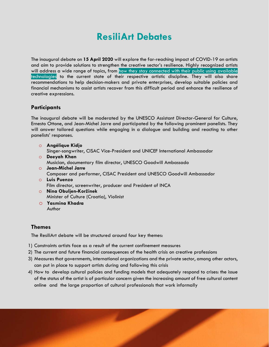## **ResiliArt Debates**

The inaugural debate on **15 April 2020** will explore the far-reaching impact of COVID-19 on artists and aim to provide solutions to strengthen the creative sector's resilience. Highly recognized artists will address a wide range of topics, from how they stay connected with their public using available technologies to the current state of their respective artistic discipline. They will also share recommendations to help decision-makers and private enterprises, develop suitable policies and financial mechanisms to assist artists recover from this difficult period and enhance the resilience of creative expressions.

#### **Participants**

The inaugural debate will be moderated by the UNESCO Assistant Director-General for Culture, Ernesto Ottone, and Jean-Michel Jarre and participated by the following prominent panelists. They will answer tailored questions while engaging in a dialogue and building and reacting to other panelists' responses.

- o **Angélique Kidjo** Singer-songwriter, CISAC Vice-President and UNICEF International Ambassador
- o **Deeyah Khan** Musician, documentary film director, UNESCO Goodwill Ambassado
- o **Jean-Michel Jarre** Composer and performer, CISAC President and UNESCO Goodwill Ambassador
- o **Luis Puenzo** Film director, screenwriter, producer and President of INCA
- o **Nina Obuljen-Koržinek**  Minister of Culture (Croatia), Violinist
- o **Yasmina Khadra**  Author

#### **Themes**

The ResiliArt debate will be structured around four key themes:

- 1) Constraints artists face as a result of the current confinement measures
- 2) The current and future financial consequences of the health crisis on creative professions
- 3) Measures that governments, international organizations and the private sector, among other actors, can put in place to support artists during and following this crisis
- 4) How to develop cultural policies and funding models that adequately respond to crises: the issue of the status of the artist is of particular concern given the increasing amount of free cultural content online and the large proportion of cultural professionals that work informally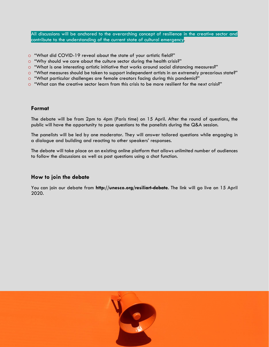All discussions will be anchored to the overarching concept of resilience in the creative sector and contribute to the understanding of the current state of cultural emergency.

- o "What did COVID-19 reveal about the state of your artistic field?"
- $\circ$  "Why should we care about the culture sector during the health crisis?"
- o "What is one interesting artistic initiative that works around social distancing measures?"
- o "What measures should be taken to support independent artists in an extremely precarious state?"
- o "What particular challenges are female creators facing during this pandemic?"
- o "What can the creative sector learn from this crisis to be more resilient for the next crisis?"

#### **Format**

The debate will be from 2pm to 4pm (Paris time) on 15 April. After the round of questions, the public will have the opportunity to pose questions to the panelists during the Q&A session.

The panelists will be led by one moderator. They will answer tailored questions while engaging in a dialogue and building and reacting to other speakers' responses.

The debate will take place on an existing online platform that allows unlimited number of audiences to follow the discussions as well as post questions using a chat function.

#### **How to join the debate**

You can join our debate from **http://unesco.org/resiliart-debate**. The link will go live on 15 April 2020.